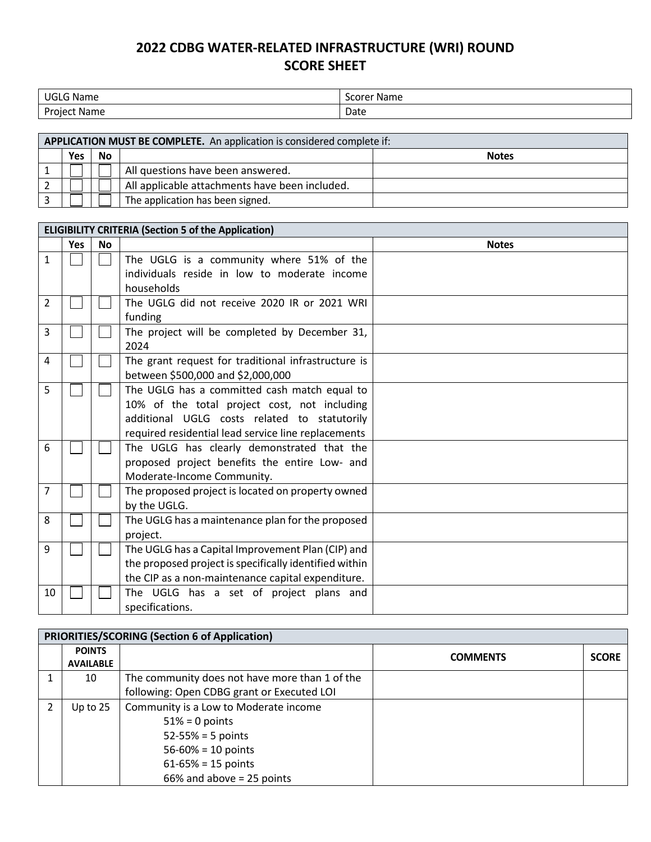## **2022 CDBG WATER-RELATED INFRASTRUCTURE (WRI) ROUND SCORE SHEET**

| $\sim$          | $ -$         |
|-----------------|--------------|
| .               | <b>Name</b>  |
| - Name          | <b>Score</b> |
| Project<br>Name | Date         |

| APPLICATION MUST BE COMPLETE. An application is considered complete if: |     |           |                                                |              |
|-------------------------------------------------------------------------|-----|-----------|------------------------------------------------|--------------|
|                                                                         | Yes | <b>No</b> |                                                | <b>Notes</b> |
|                                                                         |     |           | All questions have been answered.              |              |
|                                                                         |     |           | All applicable attachments have been included. |              |
|                                                                         |     |           | The application has been signed.               |              |

| <b>ELIGIBILITY CRITERIA (Section 5 of the Application)</b> |            |           |                                                        |              |
|------------------------------------------------------------|------------|-----------|--------------------------------------------------------|--------------|
|                                                            | <b>Yes</b> | <b>No</b> |                                                        | <b>Notes</b> |
| $\mathbf{1}$                                               |            |           | The UGLG is a community where 51% of the               |              |
|                                                            |            |           | individuals reside in low to moderate income           |              |
|                                                            |            |           | households                                             |              |
| 2                                                          |            |           | The UGLG did not receive 2020 IR or 2021 WRI           |              |
|                                                            |            |           | funding                                                |              |
| 3                                                          |            |           | The project will be completed by December 31,          |              |
|                                                            |            |           | 2024                                                   |              |
| 4                                                          |            |           | The grant request for traditional infrastructure is    |              |
|                                                            |            |           | between \$500,000 and \$2,000,000                      |              |
| 5                                                          |            |           | The UGLG has a committed cash match equal to           |              |
|                                                            |            |           | 10% of the total project cost, not including           |              |
|                                                            |            |           | additional UGLG costs related to statutorily           |              |
|                                                            |            |           | required residential lead service line replacements    |              |
| 6                                                          |            |           | The UGLG has clearly demonstrated that the             |              |
|                                                            |            |           | proposed project benefits the entire Low- and          |              |
|                                                            |            |           | Moderate-Income Community.                             |              |
| 7                                                          |            |           | The proposed project is located on property owned      |              |
|                                                            |            |           | by the UGLG.                                           |              |
| 8                                                          |            |           | The UGLG has a maintenance plan for the proposed       |              |
|                                                            |            |           | project.                                               |              |
| 9                                                          |            |           | The UGLG has a Capital Improvement Plan (CIP) and      |              |
|                                                            |            |           | the proposed project is specifically identified within |              |
|                                                            |            |           | the CIP as a non-maintenance capital expenditure.      |              |
| 10                                                         |            |           | The UGLG has a set of project plans and                |              |
|                                                            |            |           | specifications.                                        |              |

| <b>PRIORITIES/SCORING (Section 6 of Application)</b> |                  |                                                |                 |              |
|------------------------------------------------------|------------------|------------------------------------------------|-----------------|--------------|
|                                                      | <b>POINTS</b>    |                                                | <b>COMMENTS</b> | <b>SCORE</b> |
|                                                      | <b>AVAILABLE</b> |                                                |                 |              |
|                                                      | 10               | The community does not have more than 1 of the |                 |              |
|                                                      |                  | following: Open CDBG grant or Executed LOI     |                 |              |
|                                                      | Up to 25         | Community is a Low to Moderate income          |                 |              |
|                                                      |                  | $51\% = 0$ points                              |                 |              |
|                                                      |                  | $52 - 55% = 5$ points                          |                 |              |
|                                                      |                  | $56 - 60\% = 10$ points                        |                 |              |
|                                                      |                  | $61 - 65\% = 15$ points                        |                 |              |
|                                                      |                  | 66% and above = 25 points                      |                 |              |